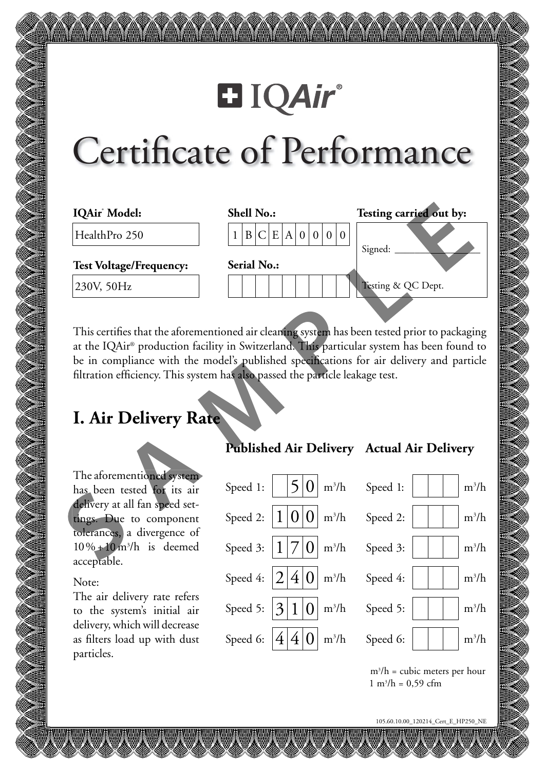# **El IQAir®**

# Certificate of Performance

| IQAir <sup>*</sup> Model:      | <b>Shell No.:</b>  | Testing carried out by: |
|--------------------------------|--------------------|-------------------------|
| HealthPro 250                  | B C E A 0 0 0      |                         |
|                                | <b>Serial No.:</b> | Signed:                 |
| <b>Test Voltage/Frequency:</b> |                    |                         |
| 230V, 50Hz                     |                    | Testing & QC Dept.      |
|                                |                    |                         |

This certifies that the aforementioned air cleaning system has been tested prior to packaging at the IQAir® production facility in Switzerland. This particular system has been found to be in compliance with the model's published specifications for air delivery and particle filtration efficiency. This system has also passed the particle leakage test.

## **I. Air Delivery Rate**

The aforementioned system has been tested for its air delivery at all fan speed settings. Due to component tolerances, a divergence of  $10\% + 10 \text{ m}^3/\text{h}$  is deemed acceptable.

#### Note:

The air delivery rate refers to the system's initial air delivery, which will decrease as filters load up with dust particles.

|  | Speed 1: $\Big  \Big  5 \Big  0 \Big $ m <sup>3</sup> /h Speed 1: $\Big  \Big  \Big $ $\Big $ m <sup>3</sup> /h       |
|--|-----------------------------------------------------------------------------------------------------------------------|
|  | Speed 2: $ 1 0 0 $ m <sup>3</sup> /h Speed 2: $ $ $ $ $ $ m <sup>3</sup> /h                                           |
|  | Speed 3: $ 1 7 0 $ m <sup>3</sup> /h Speed 3: $  \cdot   \cdot  $ m <sup>3</sup> /h                                   |
|  | Speed 4: $\left 2\right 4\left 0\right $ m <sup>3</sup> /h Speed 4: $\left  \left  \right  \right $ m <sup>3</sup> /h |
|  | Speed 5: $ 3 1 0 $ m <sup>3</sup> /h Speed 5: $  \cdot   \cdot  $ m <sup>3</sup> /h                                   |
|  | Speed 6: $ 4 4 0 $ m <sup>3</sup> /h Speed 6: $ $ $ $ $ $ m <sup>3</sup> /h                                           |
|  |                                                                                                                       |

### **Published Air Delivery Actual Air Delivery**

m3 /h = cubic meters per hour  $1 \text{ m}^3/\text{h} = 0,59 \text{ cfm}$ 

105.60.10.00\_120214\_Cert\_E\_